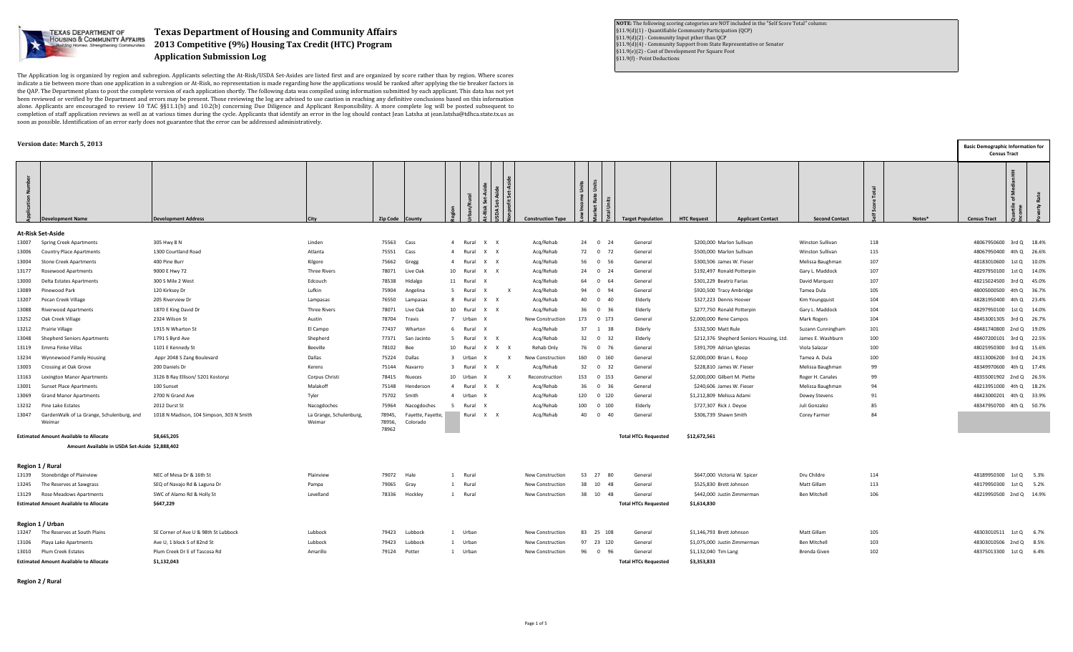

## **Texas Department of Housing and Community Affairs 2013 Competitive (9%) Housing Tax Credit (HTC) Program Application Submission Log**

The Application log is organized by region and subregion. Applicants selecting the At-Risk/USDA Set-Asides are listed first and are organized by score rather than by region. Where scores indicate a tie between more than one application in a subregion or At-Risk, no representation is made regarding how the applications would be ranked after applying the tie breaker factors in the QAP. The Department plans to post the complete version of each application shortly. The following data was compiled using information submitted by each applicant. This data has not yet been reviewed or verified by the Department and errors may be present. Those reviewing the log are advised to use caution in reaching any definitive conclusions based on this information alone. Applicants are encouraged to review 10 TAC §§11.1(b) and 10.2(b) concerning Due Diligence and Applicant Responsibility. A more complete log will be posted subsequent to completion of staff application reviews as well as at various times during the cycle. Applicants that identify an error in the log should contact Jean Latsha at jean.latsha@tdhca.state.tx.us as soon as possible. Identification of an error early does not guarantee that the error can be addressed administratively.

## **Version date: March 5, 2013**

**NOTE:** The following scoring categories are NOT included in the "Self Score Total" column: §11.9(d)(1) - Quantifiable Community Participation (QCP) §11.9(d)(2) - Community Input pther than QCP §11.9(d)(4) - Community Support from State Representative or Senator §11.9(e)(2) - Cost of Development Per Square Foot §11.9(f) - Point Deductions

|       | Version date: March 5, 2013                         |                                          |                                  |                           |                               |                |                       |              |                          |       |                      |                             |                      |                                          |                       |     |        | <b>Basic Demographic Information for</b><br><b>Census Tract</b> |  |
|-------|-----------------------------------------------------|------------------------------------------|----------------------------------|---------------------------|-------------------------------|----------------|-----------------------|--------------|--------------------------|-------|----------------------|-----------------------------|----------------------|------------------------------------------|-----------------------|-----|--------|-----------------------------------------------------------------|--|
|       | <b>Development Name</b>                             | <b>Development Address</b>               | City                             | Zip Code County           |                               |                |                       |              | <b>Construction Type</b> |       | Units<br><b>E</b>    | <b>Target Population</b>    | <b>HTC Request</b>   | <b>Applicant Contact</b>                 | <b>Second Contact</b> |     | Notes* | <b>Census Tract</b>                                             |  |
|       | At-Risk Set-Aside                                   |                                          |                                  |                           |                               |                |                       |              |                          |       |                      |                             |                      |                                          |                       |     |        |                                                                 |  |
| 13007 | <b>Spring Creek Apartments</b>                      | 305 Hwy 8 N                              | Linden                           | 75563                     | Cass                          | 4 Rural        | $\times$ $\times$     |              | Acq/Rehab                |       | 24 0 24              | General                     |                      | \$200,000 Marlon Sullivan                | Winston Sullivan      | 118 |        | 48067950600 3rd Q 18.4%                                         |  |
|       | 13006 Country Place Apartments                      | 1300 Courtland Road                      | Atlanta                          | 75551                     | Cass                          | $\overline{4}$ | Rural<br>x x          |              | Acq/Rehab                |       | 72 0 72              | General                     |                      | \$500,000 Marlon Sullivan                | Winston Sullivan      | 115 |        | 48067950400 4th Q 26.6%                                         |  |
| 13004 | <b>Stone Creek Apartments</b>                       | 400 Pine Burr                            | Kilgore                          | 75662                     | Gregg                         | 4 Rural        | x x                   |              | Acq/Rehab                |       | 56 0 56              | General                     |                      | \$300,506 James W. Fieser                | Melissa Baughman      | 107 |        | 48183010600 1st Q 10.0%                                         |  |
|       | 13177 Rosewood Apartments                           | 9000 E Hwy 72                            | <b>Three Rivers</b>              | 78071                     | Live Oak                      |                | 10 Rural X X          |              | Acq/Rehab                |       | 24 0 24              | General                     |                      | \$192,497 Ronald Potterpin               | Gary L. Maddock       | 107 |        | 48297950100 1st Q 14.0%                                         |  |
| 13000 | Delta Estates Apartments                            | 300 S Mile 2 West                        | Edcouch                          | 78538                     | Hidalgo                       | 11             | Rural                 |              | Acq/Rehab                |       | 64 0 64              | General                     |                      | \$301,229 Beatriz Farias                 | David Marquez         | 107 |        | 48215024500 3rd Q 45.0%                                         |  |
| 13089 | Pinewood Park                                       | 120 Kirksey Dr                           | Lufkin                           | 75904                     | Angelina                      | -5             | Rural<br>X            | $\mathsf{X}$ | Acq/Rehab                |       | 94 0 94              | General                     |                      | \$920,500 Tracy Ambridge                 | Tamea Dula            | 105 |        | 48005000500 4th Q 36.7%                                         |  |
| 13207 | Pecan Creek Village                                 | 205 Riverview Dr                         | Lampasas                         | 76550                     | Lampasas                      | 8 Rural        | x x                   |              | Acq/Rehab                |       | 40  0  40            | Elderly                     |                      | \$327,223 Dennis Hoover                  | Kim Youngquist        | 104 |        | 48281950400 4th Q 23.4%                                         |  |
| 13088 | <b>Riverwood Apartments</b>                         | 1870 E King David Dr                     | <b>Three Rivers</b>              | 78071                     | Live Oak                      | 10             | Rural<br>x x          |              | Acq/Rehab                |       | 36 0 36              | Elderly                     |                      | \$277,750 Ronald Potterpin               | Gary L. Maddock       | 104 |        | 48297950100 1st Q 14.0%                                         |  |
|       | 13252 Oak Creek Village                             | 2324 Wilson St                           | Austin                           | 78704                     | Travis                        | $\overline{7}$ | Urban X               |              | New Construction         |       | 173 0 173            | General                     |                      | \$2,000,000 Rene Campos                  | Mark Rogers           | 104 |        | 48453001305 3rd Q 26.7%                                         |  |
|       | 13212 Prairie Village                               | 1915 N Wharton St                        | El Campo                         | 77437                     | Wharton                       |                | Rural                 |              | Acq/Rehab                |       | 37 1 38              | Elderly                     |                      | \$332,500 Matt Rule                      | Suzann Cunningham     | 101 |        | 48481740800 2nd Q 19.0%                                         |  |
| 13048 | Shepherd Seniors Apartments                         | 1791 S Byrd Ave                          | Shepherd                         | 77371                     | San Jacinto                   | -5             | x x<br>Rural          |              | Acq/Rehab                |       | 32 0 32              | Elderly                     |                      | \$212,376 Shepherd Seniors Housing, Ltd. | James E. Washburn     | 100 |        | 48407200101 3rd Q 22.5%                                         |  |
| 13119 | Emma Finke Villas                                   | 1101 E Kennedy St                        | Beeville                         | 78102                     | Bee                           | 10 Rural       |                       | $X$ $X$ $X$  | Rehab Only               |       | 76 0 76              | General                     |                      | \$391,709 Adrian Iglesias                | Viola Salazar         | 100 |        | 48025950300 3rd Q 15.6%                                         |  |
| 13234 | <b>Wynnewood Family Housing</b>                     | Appr 2048 S Zang Boulevard               | Dallas                           |                           | 75224 Dallas                  | $\mathbf{3}$   | Urban<br>$\mathsf{x}$ | $\mathbf{x}$ | New Construction         |       | 160  0  160          | General                     |                      | \$2,000,000 Brian L. Roop                | Tamea A. Dula         | 100 |        | 48113006200 3rd Q 24.1%                                         |  |
| 13003 | Crossing at Oak Grove                               | 200 Daniels Dr                           | Kerens                           | 75144                     | Navarro                       | $\overline{3}$ | Rural<br>x x          |              | Acq/Rehab                |       | 32 0 32              | General                     |                      | \$228,810 James W. Fieser                | Melissa Baughman      | 99  |        | 48349970600 4th Q 17.4%                                         |  |
| 13163 | <b>Lexington Manor Apartments</b>                   | 3126 B Ray Ellison/ 5201 Kostoryz        | Corpus Christi                   | 78415                     | Nueces                        | 10             | Urban<br>X            | X            | Reconstruction           |       | 153 0 153            | General                     |                      | \$2,000,000 Gilbert M. Piette            | Roger H. Canales      | 99  |        | 48355001902 2nd Q 26.5%                                         |  |
| 13001 | <b>Sunset Place Apartments</b>                      | 100 Sunset                               | Malakoff                         | 75148                     | Henderson                     |                | 4 Rural X X           |              | Acq/Rehab                |       | 36 0 36              | General                     |                      | \$240,606 James W. Fieser                | Melissa Baughman      | 94  |        | 48213951000 4th Q 18.2%                                         |  |
| 13069 | <b>Grand Manor Apartments</b>                       | 2700 N Grand Ave                         | Tyler                            | 75702                     | Smith                         | $\overline{4}$ | Urban X               |              | Acq/Rehab                |       | 120 0 120            | General                     |                      | \$1,212,809 Melissa Adami                | Dewey Stevens         | 91  |        | 48423000201 4th Q 33.9%                                         |  |
|       | 13232 Pine Lake Estates                             | 2012 Durst St                            | Nacogdoches                      | 75964                     | Nacogdoches                   |                | Rural                 |              | Acq/Rehab                | 100   | $0$ 100              | Elderly                     |                      | \$727,307 Rick J. Deyoe                  | Juli Gonzalez         | 85  |        | 48347950700 4th Q 50.7%                                         |  |
| 13047 | GardenWalk of La Grange, Schulenburg, and<br>Weimar | 1018 N Madison, 104 Simpson, 303 N Smith | La Grange, Schulenburg<br>Weimar | 78945,<br>78956,<br>78962 | Fayette, Fayette,<br>Colorado |                | Rural X X             |              | Acq/Rehab                | 40    | $\overline{0}$<br>40 | General                     |                      | \$306,739 Shawn Smith                    | Corey Farmer          | 84  |        |                                                                 |  |
|       | <b>Estimated Amount Available to Allocate</b>       | \$8,665,205                              |                                  |                           |                               |                |                       |              |                          |       |                      | <b>Total HTCs Requested</b> | \$12,672,561         |                                          |                       |     |        |                                                                 |  |
|       | Amount Available in USDA Set-Aside \$2,888,402      |                                          |                                  |                           |                               |                |                       |              |                          |       |                      |                             |                      |                                          |                       |     |        |                                                                 |  |
|       | Region 1 / Rural                                    |                                          |                                  |                           |                               |                |                       |              |                          |       |                      |                             |                      |                                          |                       |     |        |                                                                 |  |
|       | 13139 Stonebridge of Plainview                      | NEC of Mesa Dr & 16th St                 | Plainview                        | 79072                     | Hale                          | 1 Rural        |                       |              | New Construction         | 53 27 | - 80                 | General                     |                      | \$647,000 Victoria W. Spicer             | Dru Childre           | 114 |        | 48189950300 1st Q 5.3%                                          |  |
|       | 13245 The Reserves at Sawgrass                      | SEQ of Navajo Rd & Laguna Dr             | Pampa                            | 79065                     | Gray                          | 1 Rural        |                       |              | New Construction         | 38 10 | 48                   | General                     |                      | \$525,830 Brett Johnson                  | Matt Gillam           | 113 |        | 48179950300 1st Q 5.2%                                          |  |
|       | 13129 Rose Meadows Apartments                       | SWC of Alamo Rd & Holly St               | Levelland                        |                           | 78336 Hockley                 | 1 Rural        |                       |              | New Construction         |       | 38 10 48             | General                     |                      | \$442,000 Justin Zimmerman               | Ben Mitchell          | 106 |        | 48219950500 2nd Q 14.9%                                         |  |
|       | <b>Estimated Amount Available to Allocate</b>       | \$647,229                                |                                  |                           |                               |                |                       |              |                          |       |                      | <b>Total HTCs Requested</b> | \$1,614,830          |                                          |                       |     |        |                                                                 |  |
|       | Region 1 / Urban                                    |                                          |                                  |                           |                               |                |                       |              |                          |       |                      |                             |                      |                                          |                       |     |        |                                                                 |  |
|       | 13247 The Reserves at South Plains                  | SE Corner of Ave U & 98th St Lubbock     | Lubbock                          | 79423                     | Lubbock                       | 1 Urban        |                       |              | New Construction         |       | 83 25 108            | General                     |                      | \$1,146,793 Brett Johnson                | Matt Gillam           | 105 |        | 48303010511 1st Q 6.7%                                          |  |
|       | 13106 Playa Lake Apartments                         | Ave U, 1 block S of 82nd St              | Lubbock                          |                           | 79423 Lubbock                 | 1 Urban        |                       |              | New Construction         |       | 97 23 120            | General                     |                      | \$1,075,000 Justin Zimmerman             | Ben Mitchell          | 103 |        | 48303010506 2nd Q 8.5%                                          |  |
|       | 13010 Plum Creek Estates                            | Plum Creek Dr E of Tascosa Rd            | Amarillo                         |                           | 79124 Potter                  | 1 Urban        |                       |              | New Construction         |       | 96 0 96              | General                     | \$1,132,040 Tim Lang |                                          | Brenda Given          | 102 |        | 48375013300 1st Q 6.4%                                          |  |
|       | <b>Estimated Amount Available to Allocate</b>       | \$1,132,043                              |                                  |                           |                               |                |                       |              |                          |       |                      | <b>Total HTCs Requested</b> | \$3,353,833          |                                          |                       |     |        |                                                                 |  |

**Region 2 / Rural**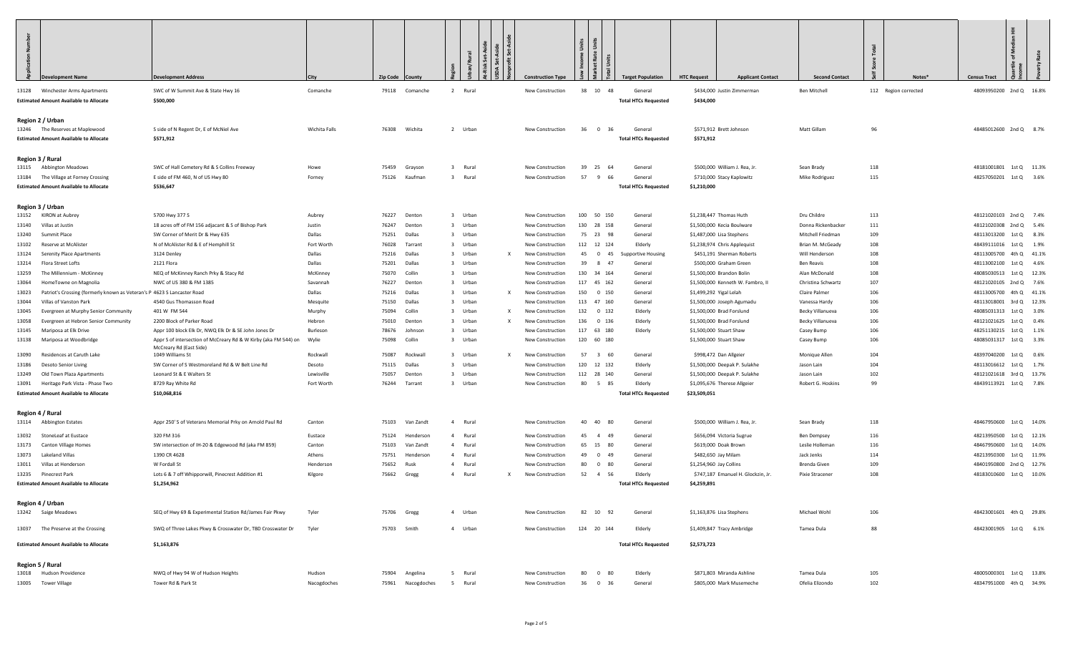| $\vec{z}$      | evelopment Name                                                                   | <b>Development Address</b>                                                                 |                          | <b>Zip Code</b> | County                  |                         |         |                              | <b>Construction Typ</b>              | Jnits<br>Units | Rate                              | <b>Target Population</b>               | <b>HTC Request</b>      | <b>Applicant Contact</b>                                      | <b>Second Contact</b>                 | Notes*               | Ŧ.<br>Σ<br>품<br><b>Census Tract</b>                |       |
|----------------|-----------------------------------------------------------------------------------|--------------------------------------------------------------------------------------------|--------------------------|-----------------|-------------------------|-------------------------|---------|------------------------------|--------------------------------------|----------------|-----------------------------------|----------------------------------------|-------------------------|---------------------------------------------------------------|---------------------------------------|----------------------|----------------------------------------------------|-------|
|                | 13128 Winchester Arms Apartments<br><b>Estimated Amount Available to Allocate</b> | SWC of W Summit Ave & State Hwy 16<br>\$500,000                                            | Comanche                 |                 | 79118 Comanche          | 2 Rural                 |         |                              | New Construction                     |                | 38 10 48                          | General<br><b>Total HTCs Requested</b> | \$434,000               | \$434,000 Justin Zimmerman                                    | Ben Mitchell                          | 112 Region corrected | 48093950200 2nd Q 16.8%                            |       |
|                |                                                                                   |                                                                                            |                          |                 |                         |                         |         |                              |                                      |                |                                   |                                        |                         |                                                               |                                       |                      |                                                    |       |
|                | Region 2 / Urban<br>13246 The Reserves at Maplewood                               | S side of N Regent Dr, E of McNiel Ave                                                     | Wichita Falls            |                 | 76308 Wichita           | 2 Urban                 |         |                              | New Construction                     | 36             | $\overline{0}$<br>36              | General                                |                         | \$571,912 Brett Johnson                                       | Matt Gillam                           | 96                   | 48485012600 2nd Q 8.7%                             |       |
|                | <b>Estimated Amount Available to Allocate</b>                                     | \$571,912                                                                                  |                          |                 |                         |                         |         |                              |                                      |                |                                   | <b>Total HTCs Requested</b>            | \$571,912               |                                                               |                                       |                      |                                                    |       |
|                |                                                                                   |                                                                                            |                          |                 |                         |                         |         |                              |                                      |                |                                   |                                        |                         |                                                               |                                       |                      |                                                    |       |
|                | Region 3 / Rural<br>13115 Abbington Meadows                                       | SWC of Hall Cemetery Rd & S Collins Freeway                                                | Howe                     | 75459           | Grayson                 | $\overline{\mathbf{3}}$ | Rural   |                              | New Construction                     | 39             | 25<br>64                          | General                                |                         | \$500,000 William J. Rea. Jr.                                 | Sean Brady                            | 118                  | 48181001801 1st Q 11.3%                            |       |
|                | 13184 The Village at Forney Crossing                                              | E side of FM 460, N of US Hwy 80                                                           | Forney                   | 75126           | Kaufman                 | $\overline{\mathbf{3}}$ | Rural   |                              | New Construction                     | 57             | - 9<br>66                         | General                                |                         | \$710,000 Stacy Kaplowitz                                     | Mike Rodriguez                        | 115                  | 48257050201 1st Q 3.6%                             |       |
|                | <b>Estimated Amount Available to Allocate</b>                                     | \$536,647                                                                                  |                          |                 |                         |                         |         |                              |                                      |                |                                   | <b>Total HTCs Requested</b>            | \$1,210,000             |                                                               |                                       |                      |                                                    |       |
|                | Region 3 / Urban                                                                  |                                                                                            |                          |                 |                         |                         |         |                              |                                      |                |                                   |                                        |                         |                                                               |                                       |                      |                                                    |       |
|                | 13152 KIRON at Aubrey                                                             | 5700 Hwy 377 S                                                                             | Aubrey                   | 76227           | Denton                  | 3 Urban                 |         |                              | New Construction                     | 100            | 50 150                            | General                                |                         | \$1,238,447 Thomas Huth                                       | Dru Childre                           | 113                  | 48121020103 2nd Q 7.4%                             |       |
| 13140          | Villas at Justin                                                                  | 18 acres off of FM 156 adjacant & S of Bishop Park                                         | Justin                   | 76247           | Denton                  | 3 Urban                 |         |                              | New Construction                     | 130            | 28 158                            | General                                |                         | \$1,500,000 Kecia Boulware                                    | Donna Rickenbacker                    | 111                  | 48121020308 2nd Q 5.4%                             |       |
| 13240<br>13102 | Summit Place<br>Reserve at McAlister                                              | SW Corner of Merit Dr & Hwy 635<br>N of McAlister Rd & E of Hemphill St                    | Dallas<br>Fort Worth     | 75251<br>76028  | Dallas<br>Tarrant       | 3 Urban<br>3 Urban      |         |                              | New Construction<br>New Construction |                | 75 23 98<br>112  12  124          | General<br>Elderly                     |                         | \$1,487,000 Lisa Stephens<br>\$1,238,974 Chris Applequist     | Mitchell Friedman<br>Brian M. McGeady | 109<br>108           | 48113013200 1st Q<br>48439111016 1st Q 1.9%        | 8.3%  |
| 13124          | <b>Serenity Place Apartments</b>                                                  | 3124 Denley                                                                                | Dallas                   | 75216           | Dallas                  | 3 Urban                 |         | $\times$                     | New Construction                     | 45             | $\mathbf{0}$<br>45                | <b>Supportive Housing</b>              |                         | \$451,191 Sherman Roberts                                     | Will Henderson                        | 108                  | 48113005700 4th Q                                  | 41.1% |
| 13214          | Flora Street Lofts                                                                | 2121 Flora                                                                                 | Dallas                   | 75201           | Dallas                  | 3 Urban                 |         |                              | New Construction                     | 39             | 8<br>-47                          | General                                |                         | \$500,000 Graham Green                                        | Ben Reavis                            | 108                  | 48113002100 1st Q 4.6%                             |       |
| 13259          | The Millennium - McKinney                                                         | NEQ of McKinney Ranch Prky & Stacy Rd                                                      | McKinney                 | 75070           | Collin                  | 3 Urban                 |         |                              | New Construction                     | 130            | 34 164                            | General                                |                         | \$1,500,000 Brandon Bolin                                     | Alan McDonald                         | 108                  | 48085030513 1st Q 12.3%                            |       |
| 13064          | HomeTowne on Magnolia                                                             | NWC of US 380 & FM 1385                                                                    | Savannah                 | 76227           | Dentor                  | 3 Urban                 |         |                              | New Construction                     | 117            | 45 162                            | General                                |                         | \$1,500,000 Kenneth W. Fambro, II                             | Christina Schwartz                    | 107                  | 48121020105 2nd Q 7.6%                             |       |
| 13023          | Patriot's Crossing (formerly known as Veteran's P 4623 S Lancaster Road           |                                                                                            | Dallas                   | 75216           | Dallas                  | 3 Urban                 |         | $\times$                     | <b>New Construction</b>              | 150            | 0 150                             | General                                | \$1,499,292 Yigal Lelah |                                                               | Claire Palmer                         | 106                  | 48113005700 4th Q 41.1%                            |       |
| 13044          | Villas of Vanston Park                                                            | 4540 Gus Thomasson Road                                                                    | Mesquite                 | 75150           | Dallas                  | 3 Urban                 |         |                              | New Construction<br>New Construction | 113            | 47 160                            | General                                |                         | \$1,500,000 Joseph Agumadu                                    | Vanessa Hardy                         | 106                  | 48113018001 3rd Q 12.3%                            |       |
| 13045<br>13058 | Evergreen at Murphy Senior Community<br>Evergreen at Hebron Senior Community      | 401 W FM 544<br>2200 Block of Parker Road                                                  | Murphy<br>Hebron         | 75094<br>75010  | Collin<br>Dentor        | 3 Urban<br>3 Urban      |         | $\mathsf{x}$<br>$\mathbf{x}$ | <b>New Construction</b>              | 132<br>136     | $0$ 132<br>0 136                  | Elderly<br>Elderly                     |                         | \$1,500,000 Brad Forslund<br>\$1,500,000 Brad Forslund        | Becky Villanueva<br>Becky Villanueva  | 106<br>106           | 48085031313 1st Q<br>48121021625 1st Q 0.4%        | 3.0%  |
| 13145          | Mariposa at Elk Drive                                                             | Appr 100 block Elk Dr, NWQ Elk Dr & SE John Jones Dr                                       | Burleson                 | 78676           | Johnson                 | 3 Urban                 |         |                              | New Construction                     | 117            | 63 180                            | Elderly                                |                         | \$1,500,000 Stuart Shaw                                       | Casey Bump                            | 106                  | 48251130215 1st Q                                  | 1.1%  |
| 13138          | Mariposa at Woodbridge                                                            | Appr S of intersection of McCreary Rd & W Kirby (aka FM 544) on<br>McCreary Rd (East Side) | Wylie                    | 75098           | Collin                  | 3 Urban                 |         |                              | New Construction                     |                | 120 60 180                        |                                        |                         | \$1,500,000 Stuart Shaw                                       | Casey Bump                            | 106                  | 48085031317 1st Q 3.3%                             |       |
| 13090          | Residences at Caruth Lake                                                         | 1049 Williams St                                                                           | Rockwall                 | 75087           | Rockwall                | 3 Urban                 |         | $\times$                     | New Construction                     | 57             | 3 60                              | General                                |                         | \$998,472 Dan Allgeier                                        | Monique Allen                         | 104                  | 48397040200 1st Q 0.6%                             |       |
| 13186          | Desoto Senior Living                                                              | SW Corner of S Westmoreland Rd & W Belt Line Rd                                            | Desoto                   | 75115           | Dallas                  | 3 Urban                 |         |                              | New Construction                     | 120            | 12 132                            | Elderly                                |                         | \$1,500,000 Deepak P. Sulakhe                                 | Jason Lain                            | 104                  | 48113016612 1st Q                                  | 1.7%  |
| 13249          | Old Town Plaza Apartments<br>13091 Heritage Park Vista - Phase Two                | Leonard St & E Walters St<br>8729 Ray White Rd                                             | Lewisville<br>Fort Worth | 75057           | Denton<br>76244 Tarrant | 3 Urban<br>3 Urban      |         |                              | New Construction                     | 80             | 112 28 140<br>5 85                | General                                |                         | \$1,500,000 Deepak P. Sulakhe<br>\$1,095,676 Therese Allgeier | Jason Lain<br>Robert G. Hoskins       | 102<br>99            | 48121021618 3rd Q 13.7%<br>48439113921 1st Q 7.8%  |       |
|                | <b>Estimated Amount Available to Allocate</b>                                     | \$10,068,816                                                                               |                          |                 |                         |                         |         |                              | New Construction                     |                |                                   | Elderly<br><b>Total HTCs Requested</b> | \$23,509,051            |                                                               |                                       |                      |                                                    |       |
|                |                                                                                   |                                                                                            |                          |                 |                         |                         |         |                              |                                      |                |                                   |                                        |                         |                                                               |                                       |                      |                                                    |       |
|                | Region 4 / Rural<br>13114 Abbington Estates                                       | Appr 250' S of Veterans Memorial Prky on Arnold Paul Rd                                    | Canton                   | 75103           | Van Zandt               | $\overline{4}$          | Rural   |                              | New Construction                     | 40             | 40<br>-80                         | General                                |                         | \$500,000 William J. Rea, Jr.                                 | Sean Brady                            | 118                  | 48467950600 1st Q 14.0%                            |       |
|                | 13032 StoneLeaf at Eustace                                                        | 320 FM 316                                                                                 | Eustace                  | 75124           | Henderson               | 4 Rural                 |         |                              | New Construction                     | 45             | $\overline{4}$<br>49              | General                                |                         | \$656,094 Victoria Sugrue                                     | <b>Ben Dempsey</b>                    | 116                  | 48213950500 1st Q 12.1%                            |       |
|                | 13173 Canton Village Homes                                                        | SW intersection of IH-20 & Edgewood Rd (aka FM 859)                                        | Canton                   | 75103           | Van Zandt               | 4 Rural                 |         |                              | New Construction                     | 65             | 15<br>80                          | General                                |                         | \$619,000 Doak Brown                                          | Leslie Holleman                       | 116                  | 48467950600 1st Q 14.0%                            |       |
| 13073          | Lakeland Villas                                                                   | 1390 CR 4628                                                                               | Athens                   | 75751           | Henderson               | 4 Rural                 |         |                              | New Construction                     | 49             | $\overline{0}$<br>49              | General                                |                         | \$482,650 Jay Milam                                           | Jack Jenks                            | 114                  | 48213950300 1st Q 11.9%                            |       |
|                | 13011 Villas at Henderson                                                         | W Fordall St                                                                               | Henderson                | 75652           | Rusk                    | 4 Rural                 |         | $\times$                     | New Construction                     | 80             | $\overline{0}$<br>80<br>52  4  56 | General                                | \$1,254,960 Jay Collins | \$747.187 Emanuel H. Glockzin, Jr.                            | Brenda Given                          | 109<br>108           | 48401950800 2nd Q 12.7%<br>48183010600 1st Q 10.0% |       |
|                | 13235 Pinecrest Park<br><b>Estimated Amount Available to Allocate</b>             | Lots 6 & 7 off Whipporwill, Pinecrest Addition #1<br>\$1,254,962                           | Kilgore                  | 75662 Gregg     |                         | 4 Rural                 |         |                              | New Construction                     |                |                                   | Elderly<br><b>Total HTCs Requested</b> | \$4,259,891             |                                                               | Pixie Stracener                       |                      |                                                    |       |
|                |                                                                                   |                                                                                            |                          |                 |                         |                         |         |                              |                                      |                |                                   |                                        |                         |                                                               |                                       |                      |                                                    |       |
|                | Region 4 / Urban<br>13242 Saige Meadows                                           | SEQ of Hwy 69 & Experimental Station Rd/James Fair Pkwy                                    | Tyler                    | 75706 Gregg     |                         |                         | 4 Urban |                              | New Construction                     | 82             | 10<br>92                          | General                                |                         | \$1,163,876 Lisa Stephens                                     | Michael Wohl                          | 106                  | 48423001601 4th Q 29.8%                            |       |
|                |                                                                                   |                                                                                            |                          |                 |                         |                         |         |                              |                                      |                |                                   |                                        |                         |                                                               |                                       |                      |                                                    |       |
|                | 13037 The Preserve at the Crossing                                                | SWQ of Three Lakes Pkwy & Crosswater Dr, TBD Crosswater Dr                                 | Tyler                    | 75703 Smith     |                         | 4 Urban                 |         |                              | New Construction                     |                | 124 20 144                        | Elderly                                |                         | \$1,409,847 Tracy Ambridge                                    | Tamea Dula                            | 88                   | 48423001905 1st Q 6.1%                             |       |
|                | <b>Estimated Amount Available to Allocate</b>                                     | \$1,163,876                                                                                |                          |                 |                         |                         |         |                              |                                      |                |                                   | <b>Total HTCs Requested</b>            | \$2,573,723             |                                                               |                                       |                      |                                                    |       |
|                | Region 5 / Rural                                                                  |                                                                                            |                          |                 |                         |                         |         |                              |                                      |                |                                   |                                        |                         |                                                               |                                       |                      |                                                    |       |
|                | 13018 Hudson Providence                                                           | NWQ of Hwy 94 W of Hudson Heights                                                          | Hudson                   | 75904           | Angelina                | 5 Rural                 |         |                              | New Construction                     | 80             | 80<br>- 0                         | Elderly                                |                         | \$871,803 Miranda Ashline                                     | Tamea Dula                            | 105                  | 48005000301 1st Q 13.8%                            |       |
|                | 13005 Tower Village                                                               | Tower Rd & Park St                                                                         | Nacogdoches              |                 | 75961 Nacogdoches       | 5 <sub>5</sub>          | Rural   |                              | New Construction                     | 36             | $\overline{0}$<br>-36             | General                                |                         | \$805,000 Mark Musemeche                                      | Ofelia Elizondo                       | $102\,$              | 48347951000 4th Q 34.9%                            |       |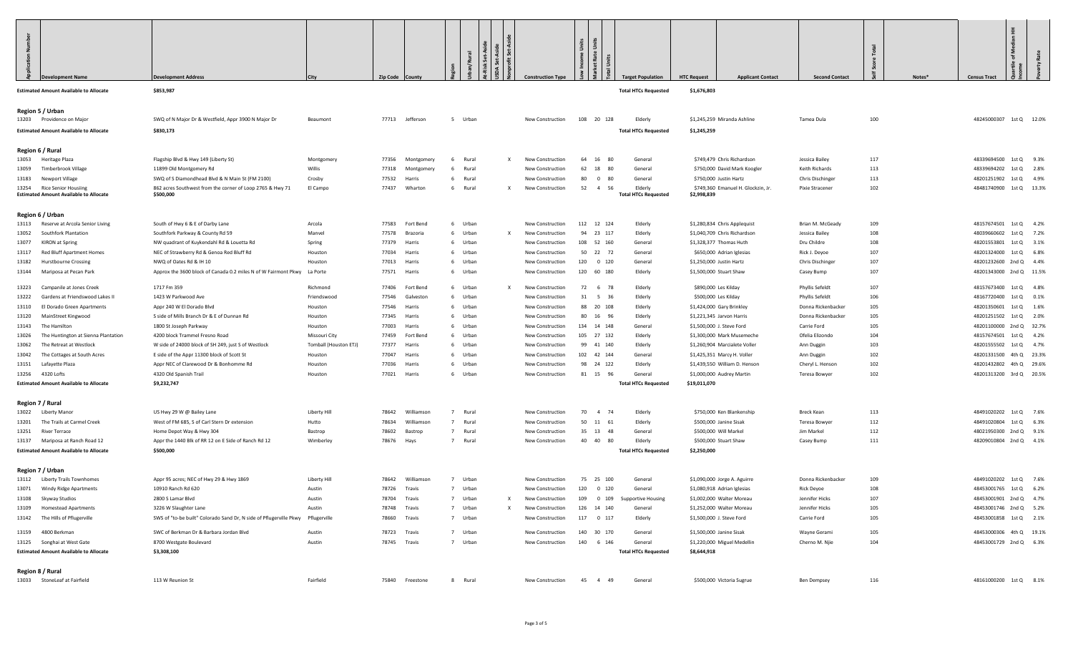| <b>Development Name</b>                                                          | <b>Development Address</b>                                                                         | City                                   | <b>Zip Code</b> | `ounty              |                         |   | <b>Construction Type</b>             | Rate                    |                      | <b>Target Population</b>               | <b>HTC Request</b><br><b>Applicant Contact</b>              | <b>Second Contact</b>         |            | Notes* | 圭<br>ofM<br><b>Census Tract</b>                   |             |
|----------------------------------------------------------------------------------|----------------------------------------------------------------------------------------------------|----------------------------------------|-----------------|---------------------|-------------------------|---|--------------------------------------|-------------------------|----------------------|----------------------------------------|-------------------------------------------------------------|-------------------------------|------------|--------|---------------------------------------------------|-------------|
| <b>Estimated Amount Available to Allocate</b>                                    | \$853,987                                                                                          |                                        |                 |                     |                         |   |                                      |                         |                      | <b>Total HTCs Requested</b>            | \$1,676,803                                                 |                               |            |        |                                                   |             |
| Region 5 / Urban                                                                 |                                                                                                    |                                        |                 |                     |                         |   |                                      |                         |                      |                                        |                                                             |                               |            |        |                                                   |             |
| 13203 Providence on Major                                                        | SWQ of N Major Dr & Westfield, Appr 3900 N Major Dr                                                | Beaumont                               |                 | 77713 Jefferson     | 5 Urban                 |   | New Construction                     | 108 20 128              |                      | Elderly                                | \$1,245,259 Miranda Ashline                                 | Tamea Dula                    | 100        |        | 48245000307 1st Q 12.0%                           |             |
| <b>Estimated Amount Available to Allocate</b>                                    | \$830,173                                                                                          |                                        |                 |                     |                         |   |                                      |                         |                      | <b>Total HTCs Requested</b>            | \$1,245,259                                                 |                               |            |        |                                                   |             |
| Region 6 / Rural                                                                 |                                                                                                    |                                        |                 |                     |                         |   |                                      |                         |                      |                                        |                                                             |                               |            |        |                                                   |             |
| 13053 Heritage Plaza                                                             | Flagship Blvd & Hwy 149 (Liberty St)                                                               | Montgomery                             | 77356           | Montgomery          | Rural<br>-6             | X | New Construction                     | 64<br>16                | 80                   | General                                | \$749,479 Chris Richardson                                  | Jessica Bailey                | 117        |        | 48339694500 1st Q 9.3%                            |             |
| 13059 Timberbrook Village                                                        | 11899 Old Montgomery Rd                                                                            | Willis                                 | 77318           | Montgomery          | Rural<br>6              |   | New Construction                     | 62                      | 18<br>80             | General                                | \$750,000 David Mark Koogler                                | Keith Richards                | 113        |        | 48339694202 1st Q 2.8%                            |             |
| 13183 Newport Village                                                            | SWQ of S Diamondhead Blvd & N Main St (FM 2100)                                                    | Crosby                                 | 77532           | Harris              | Rural<br>-6             |   | New Construction                     | 80                      | $\overline{0}$<br>80 | General                                | \$750,000 Justin Hartz                                      | Chris Dischinger              | 113        |        | 48201251902                                       | 1st Q 4.9%  |
| 13254 Rice Senior Housiing<br><b>Estimated Amount Available to Allocate</b>      | 862 acres Southwest from the corner of Loop 2765 & Hwy 71<br>\$500,000                             | El Campo                               | 77437           | Wharton             | Rural<br>6              |   | New Construction                     | 52                      | $\overline{4}$<br>56 | Elderly<br><b>Total HTCs Requested</b> | \$749,360 Emanuel H. Glockzin, Jr.<br>\$2,998,839           | Pixie Stracener               | 102        |        | 48481740900 1st Q 13.3%                           |             |
| Region 6 / Urban                                                                 |                                                                                                    |                                        |                 |                     |                         |   |                                      |                         |                      |                                        |                                                             |                               |            |        |                                                   |             |
| 13113 Reserve at Arcola Senior Living                                            | South of Hwy 6 & E of Darby Lane                                                                   | Arcola                                 | 77583           | Fort Bend           | 6 Urban                 |   | New Construction                     | 112  12  124            |                      | Elderly                                | \$1,280,834 Chris Applequist                                | Brian M. McGeady              | 109        |        | 48157674501 1st Q 4.2%                            |             |
| <b>Southfork Plantation</b><br>13052                                             | Southfork Parkway & County Rd 59                                                                   | Manvel                                 | 77578           | Brazoria            | 6 Urban                 | x | New Construction                     | 94 23 117               |                      | Elderly                                | \$1,040,709 Chris Richardson                                | Jessica Bailey                | 108        |        | 48039660602                                       | 1st Q 7.2%  |
| 13077<br>KIRON at Spring                                                         | NW quadrant of Kuykendahl Rd & Louetta Rd                                                          | Spring                                 | 77379           | Harris              | 6 Urban                 |   | New Construction                     | 108 52 160              |                      | General                                | \$1,328,377 Thomas Huth                                     | Dru Childre                   | 108        |        | 48201553801                                       | 1st Q 3.1%  |
| 13117<br>Red Bluff Apartment Homes                                               | NEC of Strawberry Rd & Genoa Red Bluff Rd                                                          | Houston                                | 77034           | Harris              | 6 Urban                 |   | New Construction                     | 50 22 72                |                      | General                                | \$650,000 Adrian Iglesias                                   | Rick J. Deyoe                 | 107<br>107 |        | 48201324000 1st Q 6.8%                            |             |
| <b>Hurstbourne Crossing</b><br>13182<br>13144 Mariposa at Pecan Park             | NWQ of Oates Rd & IH 10<br>Approx the 3600 block of Canada 0.2 miles N of W Fairmont Pkwy La Porte | Houston                                | 77013<br>77571  | Harris<br>Harris    | 6 Urban<br>6 Urban      |   | New Construction<br>New Construction | 120<br>120 60 180       | $0$ 120              | General<br>Elderly                     | \$1,250,000 Justin Hartz<br>\$1,500,000 Stuart Shaw         | Chris Dischinger              | 107        |        | 48201232600 2nd Q 4.4%<br>48201343000 2nd Q 11.5% |             |
|                                                                                  |                                                                                                    |                                        |                 |                     |                         |   |                                      |                         |                      |                                        |                                                             | Casey Bump                    |            |        |                                                   |             |
| Campanile at Jones Creek<br>13223                                                | 1717 Fm 359                                                                                        | Richmond                               | 77406           | Fort Bend           | Urban<br>6              | X | New Construction                     | 72                      | 6<br>- 78            | Elderly                                | \$890,000 Les Kilday                                        | Phyllis Sefeldt               | 107        |        | 48157673400 1st Q 4.8%                            |             |
| 13222<br>Gardens at Friendswood Lakes II                                         | 1423 W Parkwood Ave                                                                                | Friendswood                            | 77546           | Galvestor           | Urban<br>6              |   | New Construction                     | 31                      | 5 36                 | Elderly                                | \$500,000 Les Kilday                                        | Phyllis Sefeldt               | 106        |        | 48167720400 1st Q 0.1%                            |             |
| El Dorado Green Apartments<br>13110                                              | Appr 240 W El Dorado Blvd                                                                          | Houston                                | 77546           | Harris              | 6 Urban                 |   | New Construction                     | 88 20 108               |                      | Elderly                                | \$1,424,000 Gary Brinkley                                   | Donna Rickenbacker            | 105        |        | 48201350601                                       | 1st Q 1.6%  |
| 13120<br>MainStreet Kingwood                                                     | S side of Mills Branch Dr & E of Dunnan Rd                                                         | Houston                                | 77345           | Harris              | 6 Urban                 |   | New Construction                     | 80 16                   | 96                   | Elderly                                | \$1,221,345 Jarvon Harris                                   | Donna Rickenbacker            | 105        |        | 48201251502 1st Q 2.0%                            |             |
| 13143<br>The Hamilton                                                            | 1800 St Joseph Parkway                                                                             | Houston                                | 77003           | Harris              | 6 Urban                 |   | New Construction                     | 134 14 148              |                      | General                                | \$1,500,000 J. Steve Ford                                   | Carrie Ford                   | 105<br>104 |        | 48201100000 2nd Q 32.7%<br>48157674501 1st Q 4.2% |             |
| 13026<br>The Huntington at Sienna Plantation<br>13062<br>The Retreat at Westlock | 4200 block Trammel Fresno Road<br>W side of 24000 block of SH 249, just S of Westlock              | Missouri City<br>Tomball (Houston ETJ) | 77459<br>77377  | Fort Bend<br>Harris | 6 Urban<br>6 Urban      |   | New Construction<br>New Construction | 105 27 132<br>99 41 140 |                      | Elderly<br>Elderly                     | \$1,300,000 Mark Musemeche<br>\$1,260,904 Marcialete Voller | Ofelia Elizondo<br>Ann Duggin | 103        |        | 48201555502                                       | 1st Q 4.7%  |
| 13042<br>The Cottages at South Acres                                             | E side of the Appr 11300 block of Scott St                                                         | Houston                                | 77047           | Harris              | 6 Urban                 |   | New Construction                     | 102  42  144            |                      | General                                | \$1,425,351 Marcy H. Voller                                 | Ann Duggin                    | 102        |        | 48201331500 4th Q 23.3%                           |             |
| 13151 Lafayette Plaza                                                            | Appr NEC of Clarewood Dr & Bonhomme Rd                                                             | Houston                                | 77036           | Harris              | 6 Urban                 |   | New Construction                     | 98 24 122               |                      | Elderly                                | \$1,439,550 William D. Henson                               | Cheryl L. Henson              | 102        |        | 48201432802                                       | 4th Q 29.6% |
| 13256 4320 Lofts                                                                 | 4320 Old Spanish Trail                                                                             | Houston                                | 77021           | Harris              | 6 Urban                 |   | New Construction                     | 81 15 96                |                      | General                                | \$1,000,000 Audrey Martin                                   | Teresa Bowyer                 | 102        |        | 48201313200 3rd Q 20.5%                           |             |
| <b>Estimated Amount Available to Allocate</b>                                    | \$9,232,747                                                                                        |                                        |                 |                     |                         |   |                                      |                         |                      | <b>Total HTCs Requested</b>            | \$19,011,070                                                |                               |            |        |                                                   |             |
| Region 7 / Rural                                                                 |                                                                                                    |                                        |                 |                     |                         |   |                                      |                         |                      |                                        |                                                             |                               |            |        |                                                   |             |
| 13022 Liberty Manor                                                              | US Hwy 29 W @ Bailey Lane                                                                          | Liberty Hill                           | 78642           | Williamson          | $\overline{7}$<br>Rural |   | New Construction                     | 70                      | 4 74                 | Elderly                                | \$750,000 Ken Blankenship                                   | Breck Kean                    | 113        |        | 48491020202 1st Q 7.6%                            |             |
| 13201 The Trails at Carmel Creek                                                 | West of FM 685, S of Carl Stern Dr extension                                                       | Hutto                                  | 78634           | Williamsor          | $\overline{7}$<br>Rural |   | New Construction                     | 50 11 61                |                      | Elderly                                | \$500,000 Janine Sisak                                      | Teresa Bowyer                 | 112        |        | 48491020804                                       | 1st Q 6.3%  |
| 13251 River Terrace                                                              | Home Depot Way & Hwy 304                                                                           | Bastrop                                | 78602           | Bastrop             | 7 Rural                 |   | New Construction                     | 35 13                   | 48                   | General                                | \$500,000 Will Markel                                       | Jim Markel                    | 112        |        | 48021950300 2nd Q 9.1%                            |             |
| 13137 Mariposa at Ranch Road 12                                                  | Appr the 1440 Blk of RR 12 on E Side of Ranch Rd 12                                                | Wimberley                              | 78676           | Hays                | 7 Rural                 |   | New Construction                     | 40 40                   | 80                   | Elderly                                | \$500,000 Stuart Shaw                                       | Casey Bump                    | 111        |        | 48209010804 2nd Q 4.1%                            |             |
| <b>Estimated Amount Available to Allocate</b>                                    | \$500,000                                                                                          |                                        |                 |                     |                         |   |                                      |                         |                      | <b>Total HTCs Requested</b>            | \$2,250,000                                                 |                               |            |        |                                                   |             |
| Region 7 / Urban                                                                 |                                                                                                    |                                        |                 |                     |                         |   |                                      |                         |                      |                                        |                                                             |                               |            |        |                                                   |             |
| 13112 Liberty Trails Townhomes                                                   | Appr 95 acres; NEC of Hwy 29 & Hwy 1869                                                            | Liberty Hill                           | 78642           | Williamsor          | 7 Urban                 |   | New Construction                     | 75 25 100               |                      | General                                | \$1,090,000 Jorge A. Aguirre                                | Donna Rickenbacker            | 109        |        | 48491020202                                       | 1st Q 7.6%  |
| 13071 Windy Ridge Apartments                                                     | 10910 Ranch Rd 620                                                                                 | Austin                                 | 78726 Travis    |                     | 7 Urban                 |   | New Construction                     | 120 0 120               |                      | General                                | \$1,080,918 Adrian Iglesias                                 | Rick Deyoe                    | 108        |        | 48453001765 1st Q 6.2%                            |             |
| 13108 Skyway Studios                                                             | 2800 S Lamar Blvd                                                                                  | Austin                                 | 78704           | Travis              |                         |   | New Construction                     | 109 0 109               |                      | Supportive Housing                     | \$1,002,000 Walter Moreau                                   | Jennifer Hicks                | 107        |        | 48453001901 2nd Q 4.7%                            |             |
| 13109 Homestead Apartments                                                       | 3226 W Slaughter Lane                                                                              | Austin                                 | 78748 Travis    |                     | 7 Urban                 | X | New Construction                     | 126 14 140              |                      | General                                | \$1,252,000 Walter Moreau                                   | Jennifer Hicks                | 105        |        | 48453001746 2nd Q 5.2%                            |             |
| 13142 The Hills of Pflugerville                                                  | SWS of "to-be built" Colorado Sand Dr, N side of Pflugerville Pkwy                                 | Pflugerville                           | 78660 Travis    |                     | 7 Urban                 |   | New Construction                     | 117   0   117           |                      | Elderly                                | \$1,500,000 J. Steve Ford                                   | Carrie Ford                   | 105        |        | 48453001858 1st Q 2.1%                            |             |
| 13159 4800 Berkman                                                               | SWC of Berkman Dr & Barbara Jordan Blvd                                                            | Austin                                 | 78723 Travis    |                     | 7 Urban                 |   | New Construction                     | 140 30 170              |                      | General                                | \$1,500,000 Janine Sisak                                    | Wayne Gerami                  | 105        |        | 48453000306 4th Q 19.1%                           |             |
| 13125 Songhai at West Gate                                                       | 8700 Westgate Boulevard                                                                            | Austin                                 | 78745 Travis    |                     | 7 Urban                 |   | New Construction                     | 140 6 146               |                      | General                                | \$1,220,000 Miguel Medellin                                 | Cherno M. Njie                | 104        |        | 48453001729 2nd Q 6.3%                            |             |
| <b>Estimated Amount Available to Allocate</b>                                    | \$3,308,100                                                                                        |                                        |                 |                     |                         |   |                                      |                         |                      | <b>Total HTCs Requested</b>            | \$8,644,918                                                 |                               |            |        |                                                   |             |
| Region 8 / Rural                                                                 |                                                                                                    |                                        |                 |                     |                         |   |                                      |                         |                      |                                        |                                                             |                               |            |        |                                                   |             |
| 13033 StoneLeaf at Fairfield                                                     | 113 W Reunion St                                                                                   | Fairfield                              |                 | 75840 Freestone     | 8 Rural                 |   | New Construction                     | 45 4 49                 |                      | General                                | \$500,000 Victoria Sugrue                                   | <b>Ben Dempsey</b>            | 116        |        | 48161000200 1st Q 8.1%                            |             |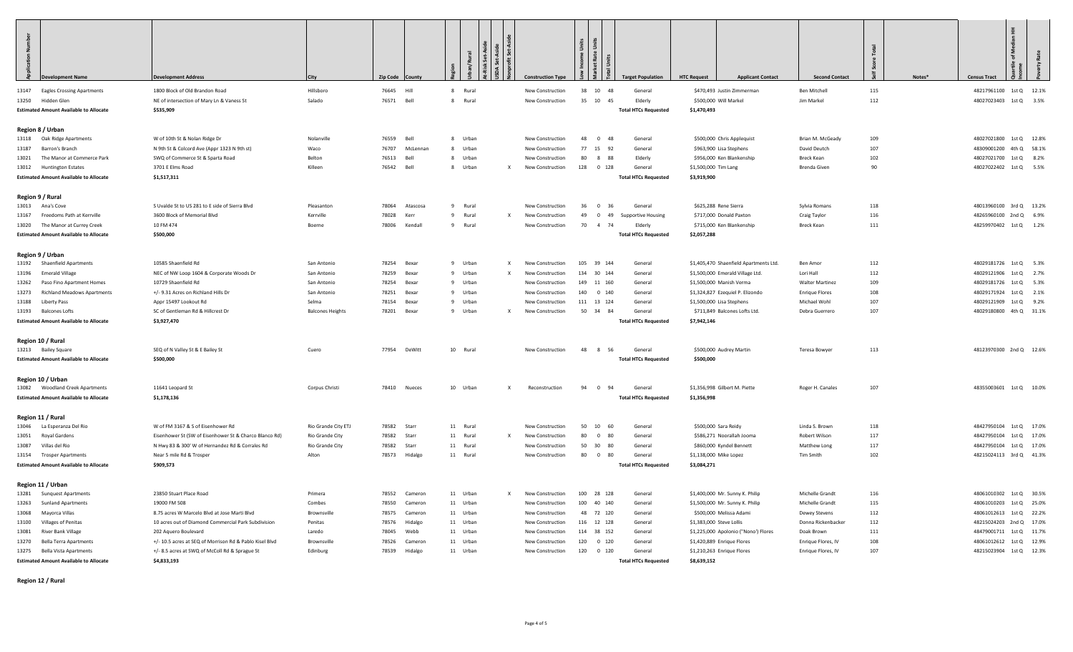| 13147 Eagles Crossing Apartments<br>13250 Hidden Glen<br><b>Estimated Amount Available to Allocate</b><br>Region 8 / Urban<br>13118 Oak Ridge Apartments<br>13187 Barron's Branch<br>13021 The Manor at Commerce Park<br>13012 Huntington Estates<br><b>Estimated Amount Available to Allocate</b><br>Region 9 / Rural<br>13013 Ana's Cove<br>13167 Freedoms Path at Kerrville<br>13020 The Manor at Currey Creek<br><b>Estimated Amount Available to Allocate</b><br>Region 9 / Urban<br>13192 Shaenfield Apartments<br>13196 Emerald Village<br>13262 Paso Fino Apartment Homes<br>13273 Richland Meadows Apartments<br>13188 Liberty Pass<br>13193 Balcones Lofts<br><b>Estimated Amount Available to Allocate</b><br>Region 10 / Rural<br>13213 Bailey Square<br><b>Estimated Amount Available to Allocate</b><br>Region 10 / Urban<br>13082 Woodland Creek Apartments<br><b>Estimated Amount Available to Allocate</b><br>Region 11 / Rural<br>13046 La Esperanza Del Rio<br>13051 Royal Gardens<br>13087 Villas del Rio<br>13154 Trosper Apartments<br><b>Estimated Amount Available to Allocate</b><br>Region 11 / Urban<br>13281 Sunquest Apartments<br>13263 Sunland Apartments<br>13068<br>Mayorca Villas<br>13100 Villages of Penitas<br>13081 River Bank Village | <b>Development Name</b> | <b>Development Address</b>                                                      | City                    | Zip Code County                   |                      | Set-A<br>l ä | <b>Construction Type</b>             | Rate                                | <b>Target Population</b>    | <b>HTC Request</b><br><b>Applicant Contact</b>             | <b>Second Contact</b>              |            | Notes* | <b>Census Tract</b>                                | Ŧ. |  |
|------------------------------------------------------------------------------------------------------------------------------------------------------------------------------------------------------------------------------------------------------------------------------------------------------------------------------------------------------------------------------------------------------------------------------------------------------------------------------------------------------------------------------------------------------------------------------------------------------------------------------------------------------------------------------------------------------------------------------------------------------------------------------------------------------------------------------------------------------------------------------------------------------------------------------------------------------------------------------------------------------------------------------------------------------------------------------------------------------------------------------------------------------------------------------------------------------------------------------------------------------------------------------|-------------------------|---------------------------------------------------------------------------------|-------------------------|-----------------------------------|----------------------|--------------|--------------------------------------|-------------------------------------|-----------------------------|------------------------------------------------------------|------------------------------------|------------|--------|----------------------------------------------------|----|--|
|                                                                                                                                                                                                                                                                                                                                                                                                                                                                                                                                                                                                                                                                                                                                                                                                                                                                                                                                                                                                                                                                                                                                                                                                                                                                              |                         | 1800 Block of Old Brandon Road                                                  | Hillsboro               | 76645 Hill                        | 8 Rural              |              | New Construction                     | 38 10<br>48                         | General                     | \$470,493 Justin Zimmerman                                 | Ben Mitchell                       | 115        |        | 48217961100 1st Q 12.1%                            |    |  |
|                                                                                                                                                                                                                                                                                                                                                                                                                                                                                                                                                                                                                                                                                                                                                                                                                                                                                                                                                                                                                                                                                                                                                                                                                                                                              |                         | NE of intersection of Mary Ln & Vaness St                                       | Salado                  | 76571 Bell                        | 8 Rural              |              | New Construction                     | 35 10 45                            | Elderly                     | \$500,000 Will Markel                                      | Jim Markel                         | 112        |        | 48027023403 1st Q 3.5%                             |    |  |
|                                                                                                                                                                                                                                                                                                                                                                                                                                                                                                                                                                                                                                                                                                                                                                                                                                                                                                                                                                                                                                                                                                                                                                                                                                                                              |                         | \$535,909                                                                       |                         |                                   |                      |              |                                      |                                     | <b>Total HTCs Requested</b> | \$1,470,493                                                |                                    |            |        |                                                    |    |  |
|                                                                                                                                                                                                                                                                                                                                                                                                                                                                                                                                                                                                                                                                                                                                                                                                                                                                                                                                                                                                                                                                                                                                                                                                                                                                              |                         |                                                                                 |                         |                                   |                      |              |                                      |                                     |                             |                                                            |                                    |            |        |                                                    |    |  |
|                                                                                                                                                                                                                                                                                                                                                                                                                                                                                                                                                                                                                                                                                                                                                                                                                                                                                                                                                                                                                                                                                                                                                                                                                                                                              |                         |                                                                                 |                         |                                   |                      |              |                                      |                                     |                             |                                                            |                                    |            |        |                                                    |    |  |
|                                                                                                                                                                                                                                                                                                                                                                                                                                                                                                                                                                                                                                                                                                                                                                                                                                                                                                                                                                                                                                                                                                                                                                                                                                                                              |                         | W of 10th St & Nolan Ridge Dr                                                   | Nolanville              | 76559<br>Bell                     | 8 Urban              |              | New Construction                     | $0$ 48<br>48                        | General                     | \$500,000 Chris Applequist                                 | Brian M. McGeady                   | 109        |        | 48027021800 1st Q 12.8%                            |    |  |
|                                                                                                                                                                                                                                                                                                                                                                                                                                                                                                                                                                                                                                                                                                                                                                                                                                                                                                                                                                                                                                                                                                                                                                                                                                                                              |                         | N 9th St & Colcord Ave (Appr 1323 N 9th st)<br>SWQ of Commerce St & Sparta Road | Waco<br>Belton          | 76707<br>McLennan<br>Bell         | 8 Urban              |              | New Construction<br>New Construction | 77 15<br>92<br>80 8 88              | General<br>Elderly          | \$963,900 Lisa Stephens                                    | David Deutch                       | 107<br>102 |        | 48309001200 4th Q 58.1%                            |    |  |
|                                                                                                                                                                                                                                                                                                                                                                                                                                                                                                                                                                                                                                                                                                                                                                                                                                                                                                                                                                                                                                                                                                                                                                                                                                                                              |                         | 3701 E Elms Road                                                                | Killeen                 | 76513<br>76542 Bell               | 8 Urban<br>8 Urban   | x            |                                      | 128 0 128                           | General                     | \$956,000 Ken Blankenship<br>\$1,500,000 Tim Lang          | Breck Kean<br>Brenda Given         | 90         |        | 48027021700 1st Q 8.2%<br>48027022402 1st Q 5.5%   |    |  |
|                                                                                                                                                                                                                                                                                                                                                                                                                                                                                                                                                                                                                                                                                                                                                                                                                                                                                                                                                                                                                                                                                                                                                                                                                                                                              |                         | \$1,517,311                                                                     |                         |                                   |                      |              | New Construction                     |                                     | <b>Total HTCs Requested</b> | \$3,919,900                                                |                                    |            |        |                                                    |    |  |
|                                                                                                                                                                                                                                                                                                                                                                                                                                                                                                                                                                                                                                                                                                                                                                                                                                                                                                                                                                                                                                                                                                                                                                                                                                                                              |                         |                                                                                 |                         |                                   |                      |              |                                      |                                     |                             |                                                            |                                    |            |        |                                                    |    |  |
|                                                                                                                                                                                                                                                                                                                                                                                                                                                                                                                                                                                                                                                                                                                                                                                                                                                                                                                                                                                                                                                                                                                                                                                                                                                                              |                         |                                                                                 |                         |                                   |                      |              |                                      |                                     |                             |                                                            |                                    |            |        |                                                    |    |  |
|                                                                                                                                                                                                                                                                                                                                                                                                                                                                                                                                                                                                                                                                                                                                                                                                                                                                                                                                                                                                                                                                                                                                                                                                                                                                              |                         | S Uvalde St to US 281 to E side of Sierra Blvd                                  | Pleasanton              | 78064<br>Atascosa                 | 9 Rural              |              | New Construction                     | 36<br>$0\quad 36$                   | General                     | \$625,288 Rene Sierra                                      | Sylvia Romans                      | 118        |        | 48013960100 3rd Q 13.2%                            |    |  |
|                                                                                                                                                                                                                                                                                                                                                                                                                                                                                                                                                                                                                                                                                                                                                                                                                                                                                                                                                                                                                                                                                                                                                                                                                                                                              |                         | 3600 Block of Memorial Blvd                                                     | Kerrville               | 78028<br>Kerr                     | 9 Rural              | $\mathsf{x}$ | New Construction                     | 49<br>$0$ 49                        | <b>Supportive Housing</b>   | \$717,000 Donald Paxton                                    | Craig Taylor                       | 116        |        | 48265960100 2nd Q 6.9%                             |    |  |
|                                                                                                                                                                                                                                                                                                                                                                                                                                                                                                                                                                                                                                                                                                                                                                                                                                                                                                                                                                                                                                                                                                                                                                                                                                                                              |                         | 10 FM 474                                                                       | Boerne                  | 78006 Kendall                     | 9 Rural              |              | New Construction                     | 70<br>4 74                          | Elderly                     | \$715,000 Ken Blankenship                                  | Breck Kean                         | 111        |        | 48259970402 1st Q 1.2%                             |    |  |
|                                                                                                                                                                                                                                                                                                                                                                                                                                                                                                                                                                                                                                                                                                                                                                                                                                                                                                                                                                                                                                                                                                                                                                                                                                                                              |                         | \$500,000                                                                       |                         |                                   |                      |              |                                      |                                     | <b>Total HTCs Requested</b> | \$2,057,288                                                |                                    |            |        |                                                    |    |  |
|                                                                                                                                                                                                                                                                                                                                                                                                                                                                                                                                                                                                                                                                                                                                                                                                                                                                                                                                                                                                                                                                                                                                                                                                                                                                              |                         |                                                                                 |                         |                                   |                      |              |                                      |                                     |                             |                                                            |                                    |            |        |                                                    |    |  |
|                                                                                                                                                                                                                                                                                                                                                                                                                                                                                                                                                                                                                                                                                                                                                                                                                                                                                                                                                                                                                                                                                                                                                                                                                                                                              |                         |                                                                                 |                         |                                   |                      |              |                                      |                                     |                             |                                                            |                                    |            |        |                                                    |    |  |
|                                                                                                                                                                                                                                                                                                                                                                                                                                                                                                                                                                                                                                                                                                                                                                                                                                                                                                                                                                                                                                                                                                                                                                                                                                                                              |                         | 10585 Shaenfield Rd                                                             | San Antonio             | 78254 Bexar                       | 9 Urban              | $\mathbf{x}$ | New Construction                     | 105 39 144                          | General                     | \$1,405,470 Shaenfield Apartments Ltd.                     | Ben Amor                           | 112        |        | 48029181726 1st Q 5.3%                             |    |  |
|                                                                                                                                                                                                                                                                                                                                                                                                                                                                                                                                                                                                                                                                                                                                                                                                                                                                                                                                                                                                                                                                                                                                                                                                                                                                              |                         | NEC of NW Loop 1604 & Corporate Woods Dr                                        | San Antonio             | 78259 Bexar                       | 9 Urban              | $\mathbf{x}$ | <b>New Construction</b>              | 134 30 144                          | General                     | \$1,500,000 Emerald Village Ltd.                           | Lori Hall                          | 112        |        | 48029121906 1st Q 2.7%                             |    |  |
|                                                                                                                                                                                                                                                                                                                                                                                                                                                                                                                                                                                                                                                                                                                                                                                                                                                                                                                                                                                                                                                                                                                                                                                                                                                                              |                         | 10729 Shaenfield Rd                                                             | San Antonio             | 78254<br>Bexar                    | 9 Urban              |              | New Construction                     | 149 11 160                          | General                     | \$1,500,000 Manish Verma                                   | <b>Walter Martinez</b>             | 109        |        | 48029181726 1st Q 5.3%                             |    |  |
|                                                                                                                                                                                                                                                                                                                                                                                                                                                                                                                                                                                                                                                                                                                                                                                                                                                                                                                                                                                                                                                                                                                                                                                                                                                                              |                         | +/- 9.31 Acres on Richland Hills Dr                                             | San Antonio             | 78251<br>Bexar                    | 9 Urban              |              | New Construction                     | 140 0 140                           | General                     | \$1,324,827 Ezequiel P. Elizondo                           | <b>Enrique Flores</b>              | 108        |        | 48029171924 1st Q 2.1%                             |    |  |
|                                                                                                                                                                                                                                                                                                                                                                                                                                                                                                                                                                                                                                                                                                                                                                                                                                                                                                                                                                                                                                                                                                                                                                                                                                                                              |                         | Appr 15497 Lookout Rd                                                           | Selma                   | 78154 Bexar                       | 9 Urban              |              | New Construction                     | 111  13  124                        | General                     | \$1,500,000 Lisa Stephens                                  | Michael Wohl                       | 107        |        | 48029121909 1st Q 9.2%                             |    |  |
|                                                                                                                                                                                                                                                                                                                                                                                                                                                                                                                                                                                                                                                                                                                                                                                                                                                                                                                                                                                                                                                                                                                                                                                                                                                                              |                         | SC of Gentleman Rd & Hillcrest Dr                                               | <b>Balcones Heights</b> | 78201<br>Bexar                    | 9 Urban              | $\mathbf{x}$ | New Construction                     | 50 34 84                            | General                     | \$711,849 Balcones Lofts Ltd.                              | Debra Guerrero                     | 107        |        | 48029180800 4th Q 31.1%                            |    |  |
|                                                                                                                                                                                                                                                                                                                                                                                                                                                                                                                                                                                                                                                                                                                                                                                                                                                                                                                                                                                                                                                                                                                                                                                                                                                                              |                         | \$3,927,470                                                                     |                         |                                   |                      |              |                                      |                                     | <b>Total HTCs Requested</b> | \$7,942,146                                                |                                    |            |        |                                                    |    |  |
|                                                                                                                                                                                                                                                                                                                                                                                                                                                                                                                                                                                                                                                                                                                                                                                                                                                                                                                                                                                                                                                                                                                                                                                                                                                                              |                         |                                                                                 |                         |                                   |                      |              |                                      |                                     |                             |                                                            |                                    |            |        |                                                    |    |  |
|                                                                                                                                                                                                                                                                                                                                                                                                                                                                                                                                                                                                                                                                                                                                                                                                                                                                                                                                                                                                                                                                                                                                                                                                                                                                              |                         |                                                                                 |                         |                                   |                      |              |                                      |                                     |                             |                                                            |                                    |            |        |                                                    |    |  |
|                                                                                                                                                                                                                                                                                                                                                                                                                                                                                                                                                                                                                                                                                                                                                                                                                                                                                                                                                                                                                                                                                                                                                                                                                                                                              |                         | SEQ of N Valley St & E Bailey St                                                | Cuero                   | 77954 DeWitt                      | 10 Rural             |              | New Construction                     | 48 8 56                             | General                     | \$500,000 Audrey Martin                                    | Teresa Bowyer                      | 113        |        | 48123970300 2nd Q 12.6%                            |    |  |
|                                                                                                                                                                                                                                                                                                                                                                                                                                                                                                                                                                                                                                                                                                                                                                                                                                                                                                                                                                                                                                                                                                                                                                                                                                                                              |                         | \$500,000                                                                       |                         |                                   |                      |              |                                      |                                     | <b>Total HTCs Requested</b> | \$500,000                                                  |                                    |            |        |                                                    |    |  |
|                                                                                                                                                                                                                                                                                                                                                                                                                                                                                                                                                                                                                                                                                                                                                                                                                                                                                                                                                                                                                                                                                                                                                                                                                                                                              |                         |                                                                                 |                         |                                   |                      |              |                                      |                                     |                             |                                                            |                                    |            |        |                                                    |    |  |
|                                                                                                                                                                                                                                                                                                                                                                                                                                                                                                                                                                                                                                                                                                                                                                                                                                                                                                                                                                                                                                                                                                                                                                                                                                                                              |                         | 11641 Leopard St                                                                | Corpus Christi          | 78410 Nueces                      | 10 Urban             | $\mathbf{x}$ | Reconstruction                       | 94<br>$0$ 94                        | General                     | \$1,356,998 Gilbert M. Piette                              | Roger H. Canales                   | 107        |        | 48355003601 1st Q 10.0%                            |    |  |
|                                                                                                                                                                                                                                                                                                                                                                                                                                                                                                                                                                                                                                                                                                                                                                                                                                                                                                                                                                                                                                                                                                                                                                                                                                                                              |                         | \$1,178,136                                                                     |                         |                                   |                      |              |                                      |                                     | <b>Total HTCs Requested</b> | \$1,356,998                                                |                                    |            |        |                                                    |    |  |
|                                                                                                                                                                                                                                                                                                                                                                                                                                                                                                                                                                                                                                                                                                                                                                                                                                                                                                                                                                                                                                                                                                                                                                                                                                                                              |                         |                                                                                 |                         |                                   |                      |              |                                      |                                     |                             |                                                            |                                    |            |        |                                                    |    |  |
|                                                                                                                                                                                                                                                                                                                                                                                                                                                                                                                                                                                                                                                                                                                                                                                                                                                                                                                                                                                                                                                                                                                                                                                                                                                                              |                         |                                                                                 |                         |                                   |                      |              |                                      |                                     |                             |                                                            |                                    |            |        |                                                    |    |  |
|                                                                                                                                                                                                                                                                                                                                                                                                                                                                                                                                                                                                                                                                                                                                                                                                                                                                                                                                                                                                                                                                                                                                                                                                                                                                              |                         | W of FM 3167 & S of Eisenhower Rd                                               | Rio Grande City ETJ     | 78582<br>Starr                    | 11 Rural             |              | New Construction                     | 10<br>60<br>50                      | General                     | \$500,000 Sara Reidy                                       | Linda S. Brown                     | 118        |        | 48427950104 1st Q 17.0%                            |    |  |
|                                                                                                                                                                                                                                                                                                                                                                                                                                                                                                                                                                                                                                                                                                                                                                                                                                                                                                                                                                                                                                                                                                                                                                                                                                                                              |                         | Eisenhower St (SW of Eisenhower St & Charco Blanco Rd)                          | Rio Grande City         | 78582 Starr                       | 11 Rural             | $\mathsf{x}$ | New Construction                     | 80<br>$\overline{\mathbf{0}}$<br>80 | General                     | \$586,271 Noorallah Jooma                                  | Robert Wilson                      | 117        |        | 48427950104 1st Q 17.0%                            |    |  |
|                                                                                                                                                                                                                                                                                                                                                                                                                                                                                                                                                                                                                                                                                                                                                                                                                                                                                                                                                                                                                                                                                                                                                                                                                                                                              |                         | N Hwy 83 & 300' W of Hernandez Rd & Corrales Rd                                 | Rio Grande City         | 78582<br>Starr                    | 11 Rural             |              | New Construction                     | 50 30<br>80                         | General                     | \$860,000 Kyndel Bennett                                   | Matthew Long                       | 117        |        | 48427950104 1st Q 17.0%                            |    |  |
|                                                                                                                                                                                                                                                                                                                                                                                                                                                                                                                                                                                                                                                                                                                                                                                                                                                                                                                                                                                                                                                                                                                                                                                                                                                                              |                         | Near 5 mile Rd & Trosper                                                        | Alton                   | 78573 Hidalgo                     | 11 Rural             |              | New Construction                     | 80<br>$0$ 80                        | General                     | \$1,138,000 Mike Lopez                                     | Tim Smith                          | 102        |        | 48215024113 3rd Q 41.3%                            |    |  |
|                                                                                                                                                                                                                                                                                                                                                                                                                                                                                                                                                                                                                                                                                                                                                                                                                                                                                                                                                                                                                                                                                                                                                                                                                                                                              |                         | \$909,573                                                                       |                         |                                   |                      |              |                                      |                                     | <b>Total HTCs Requested</b> | \$3,084,271                                                |                                    |            |        |                                                    |    |  |
|                                                                                                                                                                                                                                                                                                                                                                                                                                                                                                                                                                                                                                                                                                                                                                                                                                                                                                                                                                                                                                                                                                                                                                                                                                                                              |                         |                                                                                 |                         |                                   |                      |              |                                      |                                     |                             |                                                            |                                    |            |        |                                                    |    |  |
|                                                                                                                                                                                                                                                                                                                                                                                                                                                                                                                                                                                                                                                                                                                                                                                                                                                                                                                                                                                                                                                                                                                                                                                                                                                                              |                         |                                                                                 |                         |                                   |                      |              |                                      |                                     |                             |                                                            |                                    |            |        |                                                    |    |  |
|                                                                                                                                                                                                                                                                                                                                                                                                                                                                                                                                                                                                                                                                                                                                                                                                                                                                                                                                                                                                                                                                                                                                                                                                                                                                              |                         | 23850 Stuart Place Road<br>19000 FM 508                                         | Primera<br>Combes       | 78552 Cameron<br>78550<br>Cameron | 11 Urban<br>11 Urban | $\mathbf{x}$ | New Construction<br>New Construction | 100 28 128<br>100 40 140            | General<br>General          | \$1,400,000 Mr. Sunny K. Philip                            | Michelle Grandt<br>Michelle Grandt | 116<br>115 |        | 48061010302 1st Q 30.5%<br>48061010203 1st Q 25.0% |    |  |
|                                                                                                                                                                                                                                                                                                                                                                                                                                                                                                                                                                                                                                                                                                                                                                                                                                                                                                                                                                                                                                                                                                                                                                                                                                                                              |                         | 8.75 acres W Marcelo Blvd at Jose Marti Blvd                                    | Brownsville             | 78575<br>Cameron                  | 11 Urban             |              | New Construction                     | 48 72 120                           | General                     | \$1,500,000 Mr. Sunny K. Philip<br>\$500,000 Melissa Adami | Dewey Stevens                      | 112        |        | 48061012613 1st Q 22.2%                            |    |  |
|                                                                                                                                                                                                                                                                                                                                                                                                                                                                                                                                                                                                                                                                                                                                                                                                                                                                                                                                                                                                                                                                                                                                                                                                                                                                              |                         | 10 acres out of Diamond Commercial Park Subdivision                             | Penitas                 | 78576<br>Hidalgo                  | 11 Urban             |              | New Construction                     | 116  12  128                        | General                     | \$1,383,000 Steve Lollis                                   | Donna Rickenbacker                 | 112        |        | 48215024203 2nd Q 17.0%                            |    |  |
|                                                                                                                                                                                                                                                                                                                                                                                                                                                                                                                                                                                                                                                                                                                                                                                                                                                                                                                                                                                                                                                                                                                                                                                                                                                                              |                         | 202 Aquero Boulevard                                                            | Laredo                  | 78045<br>Webb                     | 11 Urban             |              | New Construction                     | 114 38 152                          | General                     | \$1,225,000 Apolonio ("Nono") Flores                       | Doak Brown                         | 111        |        | 48479001711 1st Q 11.7%                            |    |  |
| 13270 Bella Terra Apartments                                                                                                                                                                                                                                                                                                                                                                                                                                                                                                                                                                                                                                                                                                                                                                                                                                                                                                                                                                                                                                                                                                                                                                                                                                                 |                         | +/- 10.5 acres at SEQ of Morrison Rd & Pablo Kisel Blvd                         | Brownsville             | 78526<br>Camero                   | 11 Urban             |              | New Construction                     | 120<br>$0$ 120                      | General                     | \$1,420,889 Enrique Flores                                 | Enrique Flores, IV                 | 108        |        | 48061012612 1st Q 12.9%                            |    |  |
| 13275 Bella Vista Apartments                                                                                                                                                                                                                                                                                                                                                                                                                                                                                                                                                                                                                                                                                                                                                                                                                                                                                                                                                                                                                                                                                                                                                                                                                                                 |                         | +/- 8.5 acres at SWQ of McColl Rd & Sprague St                                  | Edinburg                | 78539 Hidalgo                     | 11 Urban             |              | New Construction                     | 120 0 120                           | General                     | \$1,210,263 Enrique Flores                                 | Enrique Flores, IV                 | 107        |        | 48215023904 1st Q 12.3%                            |    |  |
| <b>Estimated Amount Available to Allocate</b>                                                                                                                                                                                                                                                                                                                                                                                                                                                                                                                                                                                                                                                                                                                                                                                                                                                                                                                                                                                                                                                                                                                                                                                                                                |                         | \$4,833,193                                                                     |                         |                                   |                      |              |                                      |                                     | <b>Total HTCs Requested</b> | \$8,639,152                                                |                                    |            |        |                                                    |    |  |

**Region 12 / Rural**